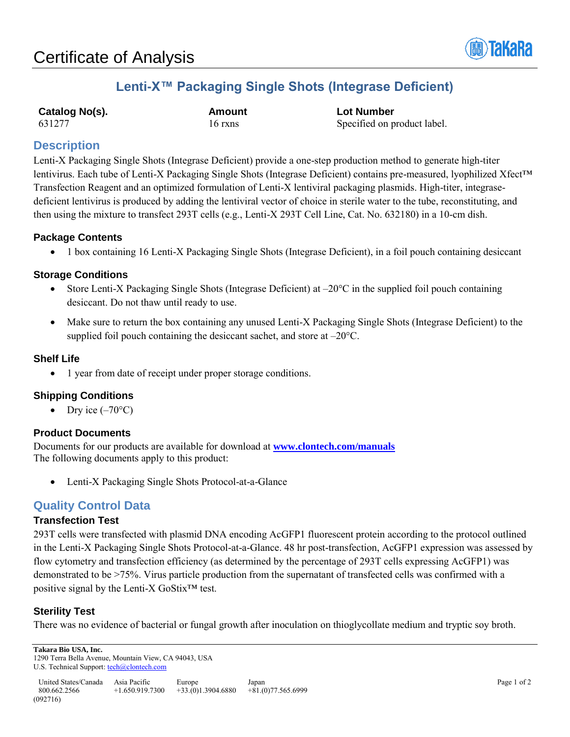

## **Lenti-X™ Packaging Single Shots (Integrase Deficient)**

**Catalog No(s). Amount Lot Number**

631277 16 rxns 16 rxns Specified on product label.

## **Description**

Lenti-X Packaging Single Shots (Integrase Deficient) provide a one-step production method to generate high-titer lentivirus. Each tube of Lenti-X Packaging Single Shots (Integrase Deficient) contains pre-measured, lyophilized Xfect™ Transfection Reagent and an optimized formulation of Lenti-X lentiviral packaging plasmids. High-titer, integrasedeficient lentivirus is produced by adding the lentiviral vector of choice in sterile water to the tube, reconstituting, and then using the mixture to transfect 293T cells (e.g., Lenti-X 293T Cell Line, Cat. No. 632180) in a 10-cm dish.

## **Package Contents**

1 box containing 16 Lenti-X Packaging Single Shots (Integrase Deficient), in a foil pouch containing desiccant

## **Storage Conditions**

- Store Lenti-X Packaging Single Shots (Integrase Deficient) at  $-20^{\circ}$ C in the supplied foil pouch containing desiccant. Do not thaw until ready to use.
- Make sure to return the box containing any unused Lenti-X Packaging Single Shots (Integrase Deficient) to the supplied foil pouch containing the desiccant sachet, and store at –20°C.

## **Shelf Life**

• 1 year from date of receipt under proper storage conditions.

## **Shipping Conditions**

Dry ice  $(-70^{\circ}C)$ 

#### **Product Documents**

Documents for our products are available for download at **[www.clontech.com/manuals](http://www.clontech.com/manuals)** The following documents apply to this product:

Lenti-X Packaging Single Shots Protocol-at-a-Glance

## **Quality Control Data**

#### **Transfection Test**

293T cells were transfected with plasmid DNA encoding AcGFP1 fluorescent protein according to the protocol outlined in the Lenti-X Packaging Single Shots Protocol-at-a-Glance. 48 hr post-transfection, AcGFP1 expression was assessed by flow cytometry and transfection efficiency (as determined by the percentage of 293T cells expressing AcGFP1) was demonstrated to be >75%. Virus particle production from the supernatant of transfected cells was confirmed with a positive signal by the Lenti-X GoStix™ test.

#### **Sterility Test**

There was no evidence of bacterial or fungal growth after inoculation on thioglycollate medium and tryptic soy broth.

**Takara Bio USA, Inc.**  1290 Terra Bella Avenue, Mountain View, CA 94043, USA

U.S. Technical Support[: tech@clontech.com](mailto:tech@clontech.com)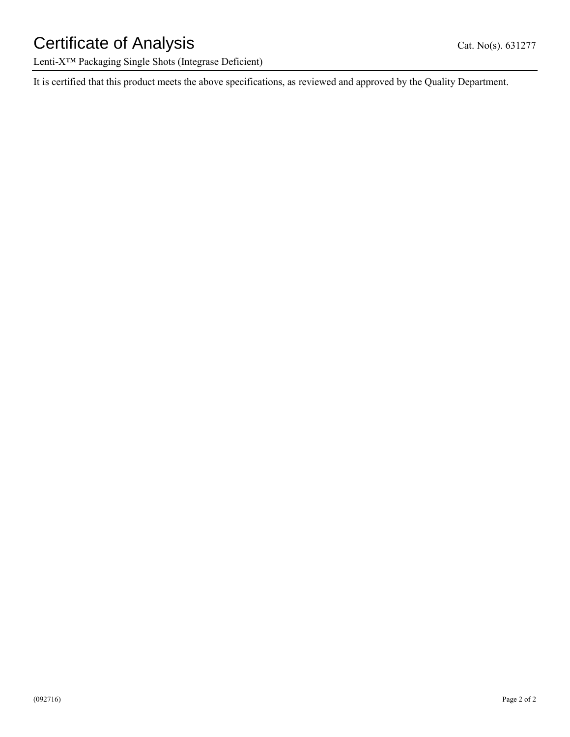# Certificate of Analysis Cat. No(s). 631277

Lenti-X™ Packaging Single Shots (Integrase Deficient)

It is certified that this product meets the above specifications, as reviewed and approved by the Quality Department.